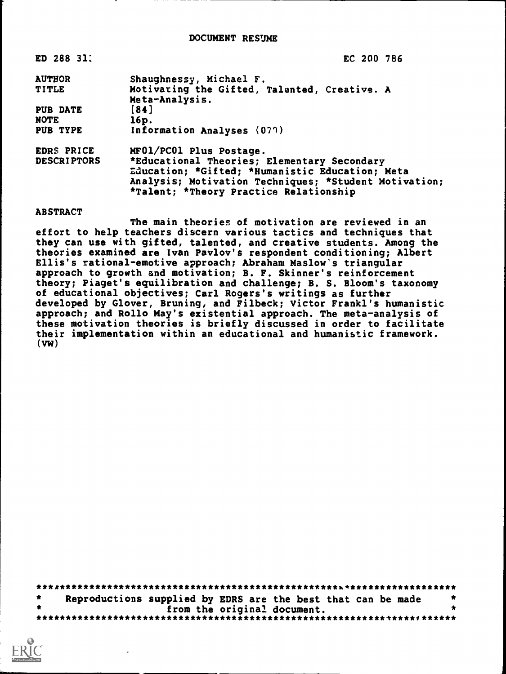### DOCUMENT RESUME

| ED 288 31.         | EC 200 786                                            |
|--------------------|-------------------------------------------------------|
| <b>AUTHOR</b>      | Shaughnessy, Michael F.                               |
| <b>TITLE</b>       | Motivating the Gifted, Talented, Creative. A          |
|                    | Meta-Analysis.                                        |
| PUB DATE           | [84]                                                  |
| NOTE               | 16p.                                                  |
| PUB TYPE           | Information Analyses (077)                            |
| <b>EDRS PRICE</b>  | MF01/PC01 Plus Postage.                               |
| <b>DESCRIPTORS</b> | *Educational Theories; Elementary Secondary           |
|                    | Education; *Gifted; *Humanistic Education; Meta       |
|                    | Analysis; Motivation Techniques; *Student Motivation; |
|                    | *Talent; *Theory Practice Relationship                |
|                    |                                                       |

ABSTRACT

The main theories of motivation are reviewed in an effort to help teachers discern various tactics and techniques that they can use with gifted, talented, and creative students. Among the theories examined are Ivan Pavlov's respondent conditioning; Albert Ellis's rational-emotive approach; Abraham Maslow's triangular approach to growth and motivation; B. F. Skinner's reinforcement theory; Piaget's equilibration and challenge; B. S. Bloom's taxonomy of educational objectives; Carl Rogers's writings as further developed by Glover, Bruning, and Filbeck; Victor Frankl's humanistic approach; and Rollo May's existential approach. The meta-analysis of these motivation theories is briefly discussed in order to facilitate their implementation within an educational and humanistic framework. (VW)

\*\*\*\*\*\*\*\*\*\*\*\*\*\*\*\*\*\*\*\*\*\*\*\*\*\*\*\*\*\*\*\*\*\*\*\*\*\*\*\*\*\*\*\*\*\*\*\*\*\*\*%\*\*\*\*\*\*\*\*\*\*\*\*\*\*\*\*\*\*\*  $\star$ Reproductions supplied by EDRS are the best that can be made  $*$ <br>from the original document. from the original document. \*\*\*\*\*\*\*\*\*\*\*\*\*\*\*\*\*\*\*\*\*\*\*\*\*\*\*\*\*\*\*\*\*\*\*\*\*\*\*\*\*\*\*\*\*\*\*\*\*\*\*\*\*\*\*\*\*\*\*\*\*\*\*\*1\*\*\*\*\*\*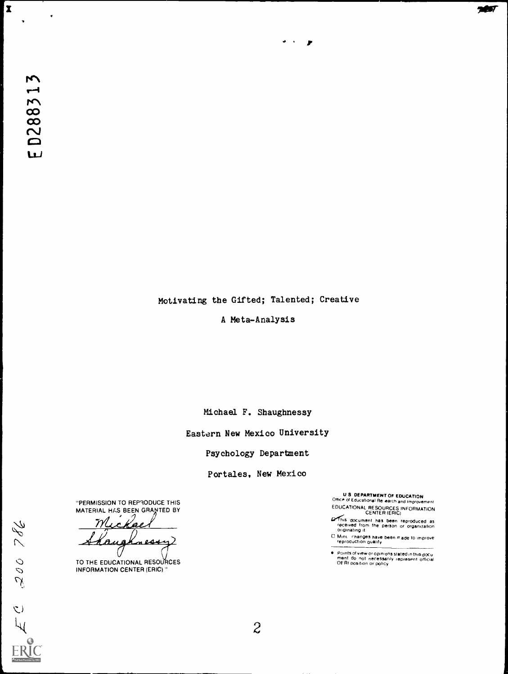$\bullet$ 

 $\overline{\mathbf{x}}$ 

Motivating the Gifted; Talented; Creative

 $\bullet$  ,  $\bullet$  ,  $\bullet$ 

A Meta-Analysis

Michael F. Shaughnessy

Eastern New Mexico University

Psychology Department

Portales. New Mexico

"PERMISSION TO REPRODUCE THIS MATERIAL HAS BEEN GRANTED BY

 $\eta\mathcal{U}$  $\mathcal{L}$ kae Kaus Knessy

TO THE EDUCATIONAL RESOURCES INFORMATION CENTER (ERIC)"

U.S. DEPARTMENT OF EDUCATION<br>Office of Educational Re-earch and Improvement

EDUCATIONAL RESOURCES INFORMATION CENTER (ERIC)

- **C**erthis document has been reproduced as<br>received from the person or organization<br>originating it
- Mint...changes have been made to improve.<br>reproduction quality

Points of view or opinions stated in this doCu<br>ment: do: not: necessarily: represent: official<br>OFRI position or policy

 $2\overline{2}$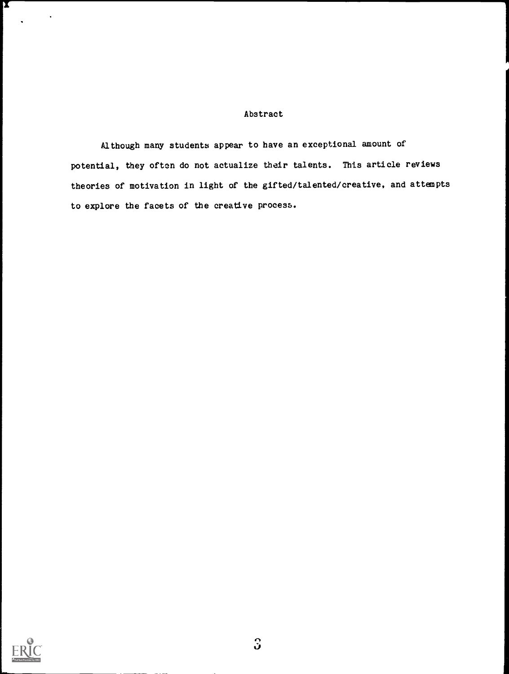## Abstract

Although many students appear to have an exceptional amount of potential, they often do not actualize their talents. This article reviews theories of motivation in light of the gifted/talented/creative, and attempts to explore the facets of the creative process.



X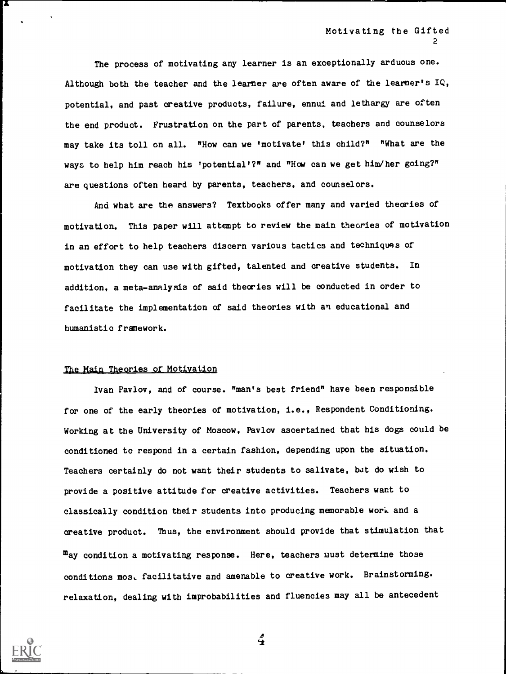The process of motivating any learner is an exceptionally arduous one. Although both the teacher and the learner are often aware of the learner's  $IQ$ , potential, and past creative products, failure, ennui and lethargy are often the end product. Frustration on the part of parents, teachers and counselors may take its toll on all. "How can we 'motivate' this child?" "What are the ways to help him reach his 'potential'?" and "How can we get him/her going?" are questions often heard by parents, teachers, and counselors.

And what are the answers? Textbooks offer many and varied theories of motivation. This paper will attempt to review the main theories of motivation in an effort to help teachers discern various tactics and techniques of motivation they can use with gifted, talented and creative students. In addition, a meta-analysis of said theories will be conducted in order to facilitate the implementation of said theories with an educational and humanistic framework.

# The Main Theories of Motivation

Ivan Pavlov, and of course. "man's best friend" have been responsible for one of the early theories of motivation, i.e., Respondent Conditioning. Working at the University of Moscow, Pavlov ascertained that his dogs could be conditioned to respond in a certain fashion, depending upon the situation. Teachers certainly do not want their students to salivate, but do wish to provide a positive attitude for creative activities. Teachers want to classically condition their students into producing memorable work and a creative product. Thus, the environment should provide that stimulation that  $m_{\text{ay}}$  condition a motivating response. Here, teachers must determine those conditions mos, facilitative and amenable to creative work. Brainstorming. relaxation, dealing with improbabilities and fluencies may all be antecedent



х

 $\frac{d}{dt}$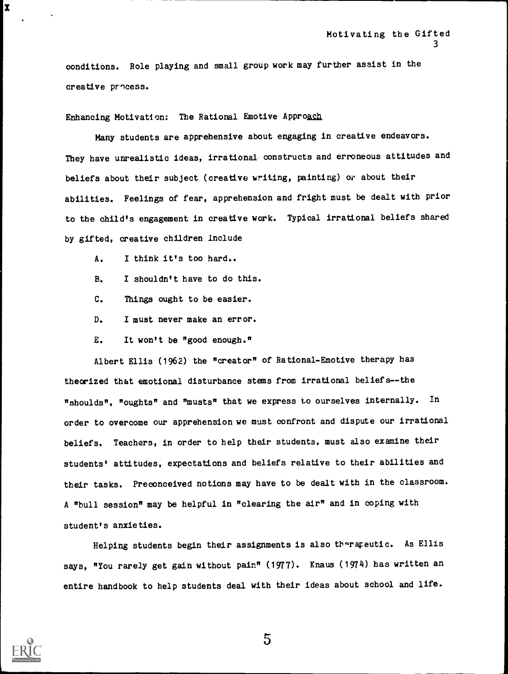conditions. Role playing and small group work may further assist in the creative process.

Enhancing Motivation: The Rational Emotive Approach

Many students are apprehensive about engaging in creative endeavors. They have unrealistic ideas, irrational constructs and erroneous attitudes and beliefs about their subject (creative writing, painting) or about their abilities. Feelings of fear, apprehension and fright must be dealt with prior to the child's engagement in creative work. Typical irrational beliefs shared by gifted, creative children Include

- A. I think it's too hard..
- B. I shouldn't have to do this.
- C. Things ought to be easier.
- D. I must never make an error.
- E. It won't be "good enough."

Albert Ellis (1962) the "creator" of Rational-Emotive therapy has theorized that emotional disturbance stems from irrational beliefs--the "shoulds", "oughts" and "musts" that we express to ourselves internally. In order to overcome our apprehension we must confront and dispute our irrational beliefs. Teachers, in order to help their students, must also examine their students' attitudes, expectations and beliefs relative to their abilities and their tasks. Preconceived notions may have to be dealt with in the classroom. A "bull session" may be helpful in "clearing the air" and in coping with student's anxie ties.

Helping students begin their assignments is also therapeutic. As Ellis says, "You rarely get gain without pain" (1977). Knaus (1974) has written an entire handbook to help students deal with their ideas about school and life.



 $\mathbf{x} = (x - y)^T$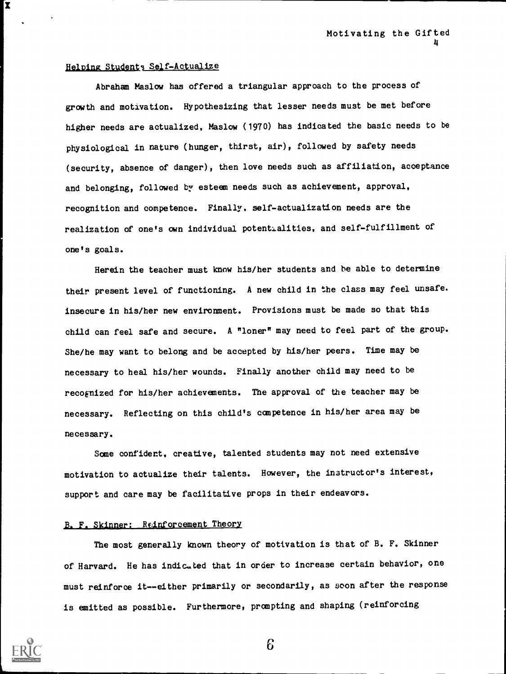# Helping Students Self-Actualize

 $\mathbf{x}$  and  $\mathbf{x}$  and  $\mathbf{x}$ 

Abraham Maslow has offered a triangular approach to the process of growth and motivation. Hypothesizing that lesser needs must be met before higher needs are actualized, Maslow (1970) has indicated the basic needs to be physiological in nature (hunger, thirst, air), followed by safety needs (security, absence of danger), then love needs such as affiliation, acceptance and belonging, followed by esteem needs such as achievement, approval, recognition and competence. Finally, self-actualization needs are the realization of one's own individual potentialities, and self-fulfillment of one's goals.

Herein the teacher must know his/her students and be able to determine their present level of functioning. A new child in the class may feel unsafe. insecure in his/her new environment. Provisions must be made so that this child can feel safe and secure. A "loner" may need to feel part of the group. She/he may want to belong and be accepted by his/her peers. Time may be necessary to heal his/her wounds. Finally another child may need to be recognized for his/her achievements. The approval of the teacher may be necessary. Reflecting on this child's competence in his/her area may be necessary.

Some confident, creative, talented students may not need extensive motivation to actualize their talents. However, the instructor's interest, support and care may be facilitative props in their endeavors.

# B. F. Skinner: Reinforcement Theory

The most generally known theory of motivation is that of B. F. Skinner of Harvard. He has indicated that in order to increase certain behavior, one must reinforce it--either primarily or secondarily, as soon after the response is emitted as possible. Furthermore, prompting and shaping (reinforcing

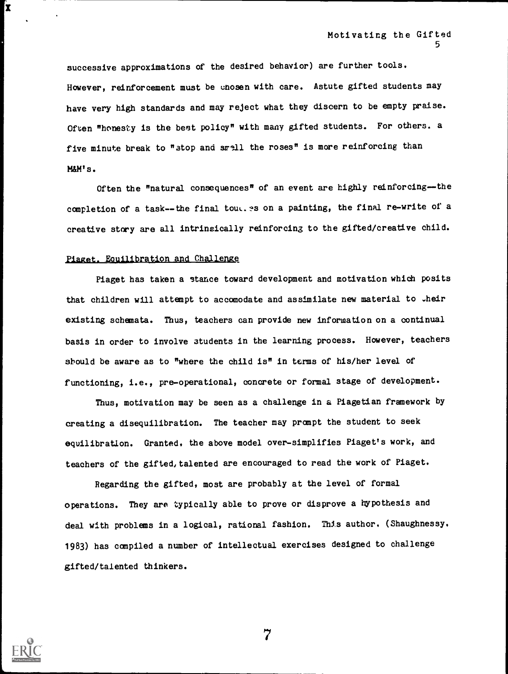successive approximations of the desired behavior) are further tools. However, reinforcement must be enosen with care. Astute gifted students may have very high standards and may reject what they discern to be empty praise. Often "honesty is the best policy" with many gifted students. For others. a five minute break to "stop and smell the roses" is more reinforcing than M&M's.

Often the "natural consequences" of an event are highly reinforcing--the completion of a task--the final tout. as on a painting, the final re-write of a creative story are all intrinsically reinforcing to the gifted/creative child.

### Piaget. Equilibration and Challenge

Piaget has taken a stance toward development and motivation which posits that children will attempt to accomodate and assimilate new material to .heir existing schemata. Thus, teachers can provide new information on a continual basis in order to involve students in the learning process. However, teachers should be aware as to "where the child is" in terms of his/her level of functioning, i.e., pre-operational, concrete or formal stage of development.

Thus, motivation may be seen as a challenge in a Piagetian framework by creating a disequilibration. The teacher may prompt the student to seek equilibration. Granted, the above model over-simplifies Piaget's work, and teachers of the gifted, talented are encouraged to read the work of Piaget.

Regarding the gifted, most are probably at the level of formal operations. They are typically able to prove or disprove a hypothesis and deal with problems in a logical, rational fashion. This author. (Shaughnessy. 1983) has compiled a number of intellectual exercises designed to challenge gifted/talented thinkers.



X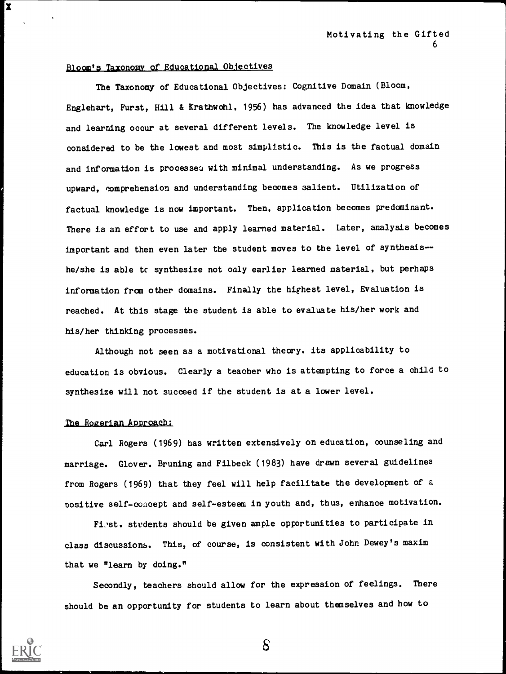## Bloom's Taxonomy of Educational Ob.iectives

The Taxonomy of Educational Objectives: Cognitive Domain (Bloom, Englehart, Furst, Hill & Krathwohl. 1956) has advanced the idea that knowledge and learning occur at several different levels. The knowledge level is considered to be the lowest and most simplistic. This is the factual domain and information is processea with minimal understanding. As we progress upward, comprehension and understanding becomes salient. Utilization of factual knowledge is now important. Then, application becomes predominant. There is an effort to use and apply learned material. Later, analysis becomes important and then even later the student moves to the level of synthesis- he/she is able to synthesize not only earlier learned material, but perhaps information from other domains. Finally the highest level, Evaluation is reached. At this stage the student is able to evaluate his/her work and his/her thinking processes.

Although not seen as a motivational theory. its applicability to education is obvious. Clearly a teacher who is attempting to force a child to synthesize will not succeed if the student is at a lower level.

#### The Rozerian Approach:

Carl Rogers (1969) has written extensively on education, counseling and marriage. Glover. Bruning and Filbeck (1983) have drawn several guidelines from Rogers (1969) that they feel will help facilitate the development of a positive self-concept and self-esteem in youth and, thus, enhance motivation.

Fi.st. students should be given ample opportunities to participate in class discussions. This, of course, is consistent with John Dewey's maxim that we "learn by doing."

Secondly, teachers should allow for the expression of feelings. There should be an opportunity for students to learn about themselves and how to



 $\mathbf x$ 

S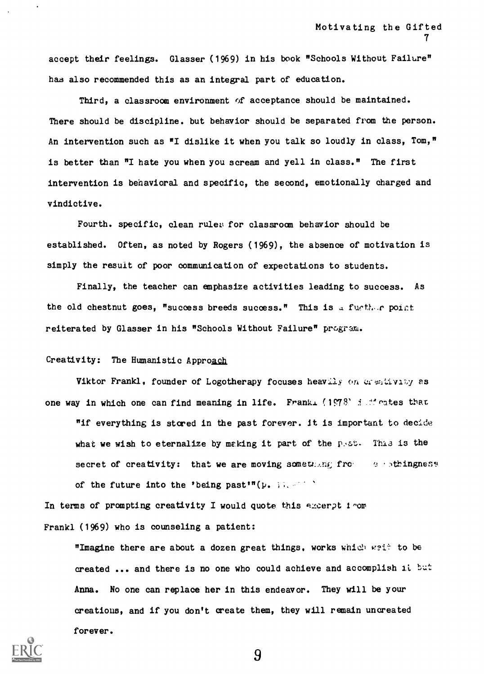accept their feelings. Glasser (1969) in his book "Schools Without Failure" has also recommended this as an integral part of education.

Third, a classroom environment of acceptance should be maintained. There should be discipline. but behavior should be separated from the person. An intervention such as  $^{\pi}I$  dislike it when you talk so loudly in class, Tom," is better than "I hate you when you scream and yell in class." The first intervention is behavioral and specific, the second, emotionally charged and vindictive.

Fourth. specific, clean rules for classroom behavior should be established. Often, as noted by Rogers (1969), the absence of motivation is simply the result of poor communication of expectations to students.

Finally, the teacher can emphasize activities leading to success. As the old chestnut goes, "success breeds success." This is a fugther point reiterated by Glasser in his "Schools Without Failure" program.

# Creativity: The Humanistic Approach

Viktor Frankl, founder of Logotherapy focuses heavily on crestivity as one way in which one can find meaning in life. Frankl (1978) indicates that "if everything is stored in the past forever. it is important to decide what we wish to eternalize by making it part of the  $p_{\text{S}}s$ . This is the secret of creativity: that we are moving something from  $e$  is thingness of the future into the 'being past'"( $\mu$ . 1;.-1)

In terms of prompting creativity I would quote this excerpt  $1$  or Frankl (1969) who is counseling a patient:

"Imagine there are about a dozen great things, works which weit to be created ... and there is no one who could achieve and accomplish it but Anna. No one can replace her in this endeavor. They will be your areatious, and if you don't create them, they will remain uncreated forever.

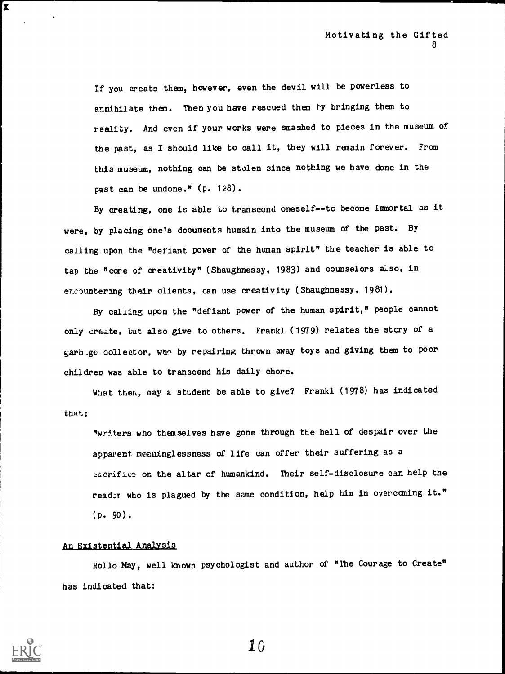If you create them, however, even the devil will be powerless to annihilate them. Then you have rescued them by bringing them to reality. And even if your works were smashed to pieces in the museum of the past, as I should like to call it, they will remain forever. From this museum, nothing can be stolen since nothing we have done in the past can be undone." (p. 128).

By creating, one is able to transcend oneself--to become Immortal as it were, by placing one's documents humain into the museum of the past. By calling upon the "defiant power of the human spirit" the teacher is able to tap the "core of creativity" (Shaughnessy, 1983) and counselors also, in excountering their clients, can use creativity (Shaughnessy, 1981).

By calling upon the "defiant power of the human spirit," people cannot only create, but also give to others. Frankl (1979) relates the story of a garb.go collector, who by repairing thrown away toys and giving them to poor children was able to transcend his daily chore.

What then, may a student be able to give? Frankl (1978) has indicated that:

"wr!ters who themselves have gone through the hell of despair over the apparent meaninglessness of life can offer their suffering as a sacrifics on the altar of humankind. Their self-disclosure can help the reader who is plagued by the same condition, help him in overcoming it."  $(p. 90).$ 

## An Existential Analysis

Rollo May, well known psychologist and author of "The Courage to Create" has indicated that:



 $\mathbf{x}$  and  $\mathbf{x}$  and  $\mathbf{x}$  and  $\mathbf{x}$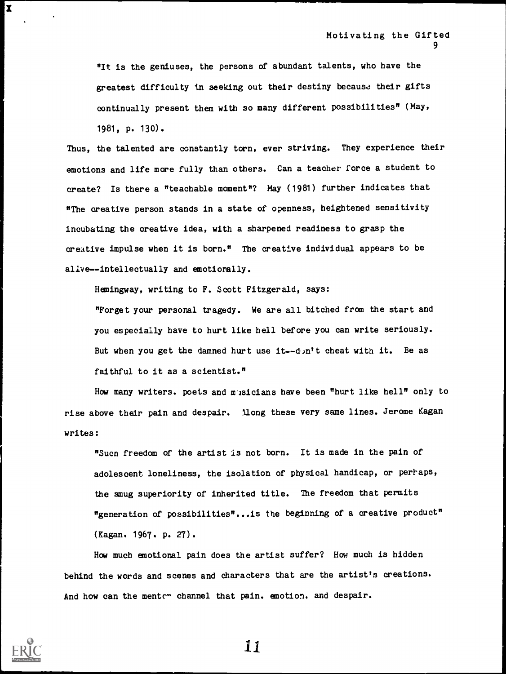"It is the geniuses, the persons of abundant talents, who have the greatest difficulty in seeking out their destiny because their gifts continually present them with so many different possibilities" (May, 1981, p. 130).

Thus, the talented are constantly torn, ever striving. They experience their emotions and life more fully than others. Can a teacher force a student to create? Is there a "teachable moment"? May (1981) further indicates that "The creative person stands in a state of openness, heightened sensitivity incubating the creative idea, with a sharpened readiness to grasp the creative impulse when it is born." The creative individual appears to be alive--intellectually and emotionally.

Hemingway, writing to F. Scott Fitzgerald, says:

"Forget your personal tragedy. We are all bitched from the start and you especially have to hurt like hell before you can write seriously. But when you get the damned hurt use  $it$ -d<sub>i</sub>n't cheat with it. Be as faithful to it as a scientist."

How many writers. poets and musicians have been "hurt like hell" only to rise above their pain and despair. Mong these very same lines. Jerome Kagan writes:

"Sucn freedom of the artist is not born. It is made in the pain of adolescent loneliness, the isolation of physical handicap, or perhaps, the smug superiority of inherited title. The freedom that permits "generation of possibilities"...is the beginning of a creative product" (Kagan. 1967. p. 27).

How much emotional pain does the artist suffer? How much is hidden behind the words and scenes and characters that are the artist's creations. And how can the menter channel that pain. emotion. and despair.



 $\overline{\mathbf{X}}$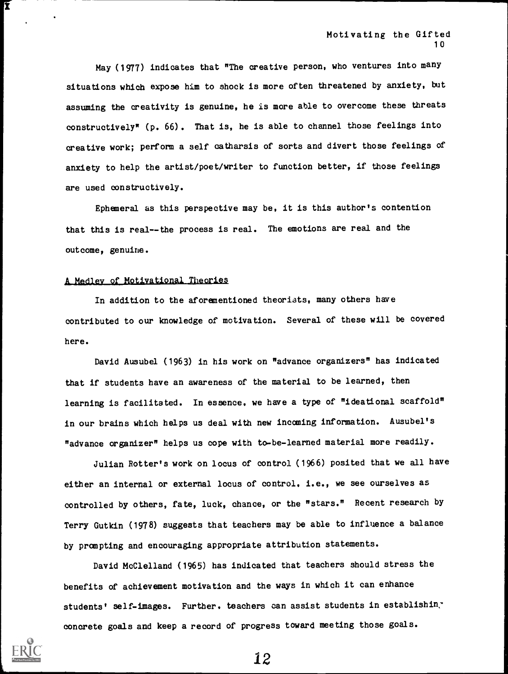May (1977) indicates that "The creative person, who ventures into many situations which expose him to shock is more often threatened by anxiety, but assuming the creativity is genuine, he is more able to overcome these threats constructively\* (p. 66). That is, he is able to channel those feelings into creative work; perform a self catharsis of sorts and divert those feelings of anxiety to help the artist/poet/writer to function better, if those feelings are used constructively.

Ephemeral as this perspective may be, it is this author's contention that this is real-- the process is real. The emotions are real and the outcome, genuine.

#### A Medley of Motivational Theories

In addition to the aforementioned theorists, many others have contributed to our knowledge of motivation. Several of these will be covered here.

David Ausubel (1963) in his work on "advance organizers" has indicated that if students have an awareness of the material to be learned, then learning is facilitated. In essence, we have a type of "ideational scaffold" in our brains which helps us deal with new incoming information. Ausubel's "advance organizer" helps us cope with to-be-learned material more readily.

Julian Rotter's work on locus of control (1966) posited that we all have either an internal or external locus of control. i.e., we see ourselves as controlled by others, fate, luck, chance, or the "stars." Recent research by Terry Gutkin (1978) suggests that teachers may be able to influence a balance by prompting and encouraging appropriate attribution statements.

David McClelland (1965) has indicated that teachers should stress the benefits of achievement motivation and the ways in which it can enhance students' self-images. Further. teachers can assist students in establishin. concrete goals and keep a record of progress toward meeting those goals.



Ĩ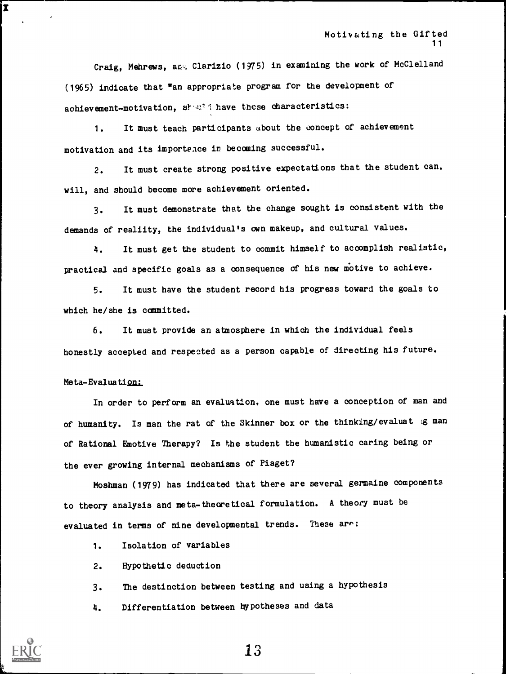Craig, Mehrews, and Clarizio (1975) in examining the work of McClelland (1965) indicate that "an appropriate program for the development of achievement-motivation, share these characteristics:

1. It must teach participants about the concept of achievement motivation and its importance in becoming successful.

2. It must create strong positive expectations that the student can. will, and should become more achievement oriented.

3. It must demonstrate that the change sought is consistent with the demands of realiity, the individual's own makeup, and cultural values.

4. It must get the student to commit himself to accomplish realistic, practical and specific goals as a consequence of his new motive to achieve.

5. It must have the student record his progress toward the goals to which he/she is committed.

6. It must provide an atmosphere in which the individual feels honestly accepted and respected as a person capable of directing his future.

#### Meta-Evaluation:

In order to perform an evaluation. one must have a conception of man and of humanity. Is man the rat of the Skinner box or the thinking/evaluat ig man of Rational Emotive Therapy? Is the student the humanistic caring being or the ever growing internal mechanisms of Piaget?

Moshman (1979) has indicated that there are several germaine components to theory analysis and meta-theoretical formulation. A theory must be evaluated in terms of nine developmental trends. These are:

1. Isolation of variables

2. Hypothetic deduction

3. The destination between testing and using a hypothesis

4. Differentiation between hypotheses and data



I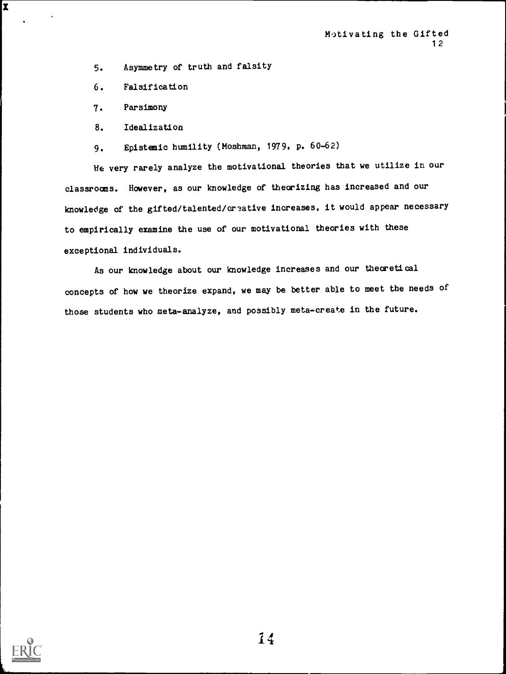5. Asymmetry of truth and falsity

6. Falsification

7. Parsimony

 $\mathbf{x}$  and  $\mathbf{x}$  and  $\mathbf{x}$  and  $\mathbf{x}$ 

8. Idealization

9. Epistemic humility (Moshman, 1979. p. 60-62)

He very rarely analyze the motivational theories that we utilize in our classrooms. However, as our knowledge of theorizing has increased and our knowledge of the gifted/talented/creative increases, it would appear necessary to empirically examine the use of our motivational theories with these exceptional individuals.

As our knowledge about our knowledge increases and our theoretical concepts of how we theorize expand, we may be better able to meet the needs of those students who meta-analyze, and possibly meta-create in the future.

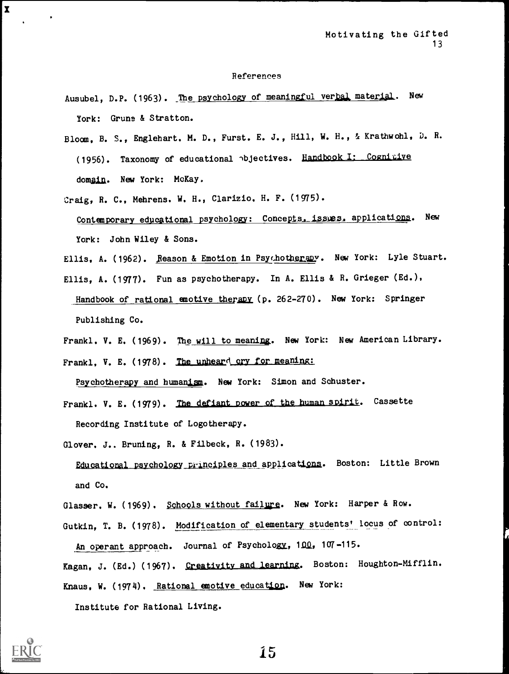#### References

- Ausubel, D.P. (1963). The psychology of meaningful verbal material. New York: Grune & Stratton.
- Bloom, B. S., Englehart. M. D., Furst. E. J., Hill, W. H., & Krathwohl, D. R. (1956). Taxonomy of educational objectives. Handbook I: Cognitive domain. New York: McKay.
- Craig, R. C., Mehrens. W. H., Clarizio. H. F. (1975). Contemporary educational psychology: Concepts. issues. applications. New York: John Wiley & Sons.
- Ellis, A. (1962). Reason & Emotion in Psychotherapy. New York: Lyle Stuart.
- Ellis, A. (1977). Fun as psychotherapy. In A. Ellis & R. Grieger (Ed.), Handbook of rational emotive therapy (p. 262-270). New York: Springer Publishing Co.
- Frankl. V. E. (1969). The will to meaning. New York: New American Library.

Frankl, V. E. (1978). The unheard cry for meaning:

Psychotherapy and humanism. New York: Simon and Schuster.

- Frankl. V. E. (1979). The defiant power of the human spirit. Cassette Recording Institute of Logotherapy.
- Glover. J.. Bruning, R. & Filbeck, R. (1983). Educational psychology principles and applications. Boston: Little Brown and Co.
- Glasser. W. (1969). Schools without failure. New York: Harper & Row.

Gutkin, T. B. (1978). Modification of elementary students' locus of control: An operant approach. Journal of Psychology, 100, 107-115.

Kagan, J. (Ed.) (1967). Creativity and learning. Boston: Houghton-Mifflin. Knaus, W. (1974). Rational emotive education. New York:

Institute for Rational Living.



 $\mathbf x$